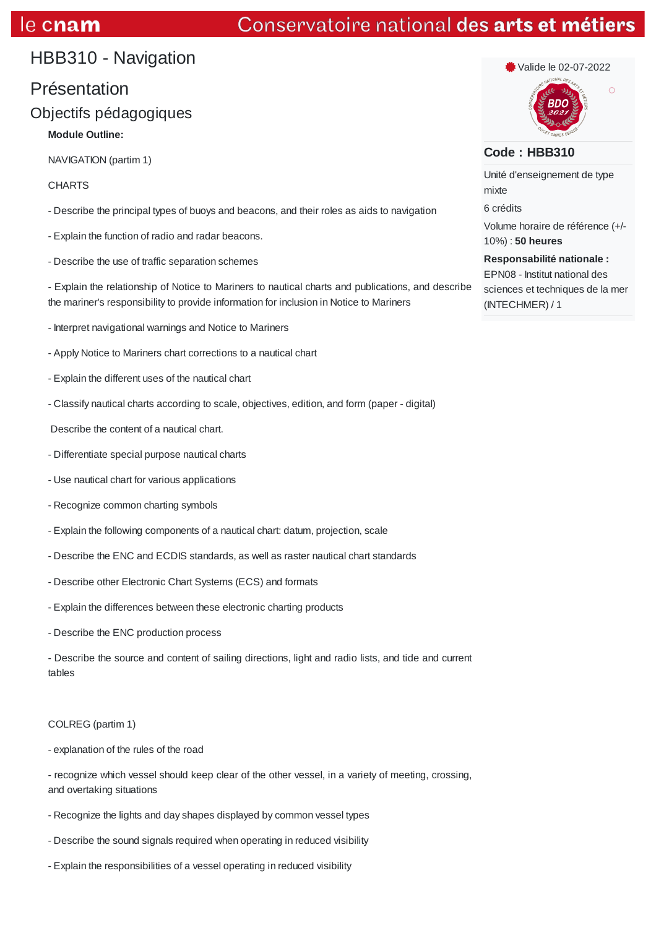# e cnam

# Conservatoire national des arts et métiers

# HBB310 - Navigation

# Présentation

# Objectifs pédagogiques

# **Module Outline:**

NAVIGATION (partim 1)

## **CHARTS**

- Describe the principal types of buoys and beacons, and their roles as aids to navigation
- Explain the function of radio and radar beacons.
- Describe the use of traffic separation schemes

- Explain the relationship of Notice to Mariners to nautical charts and publications, and describe the mariner's responsibility to provide information for inclusion in Notice to Mariners

- Interpret navigational warnings and Notice to Mariners
- Apply Notice to Mariners chart corrections to a nautical chart
- Explain the different uses of the nautical chart
- Classify nautical charts according to scale, objectives, edition, and form (paper digital)

Describe the content of a nautical chart.

- Differentiate special purpose nautical charts
- Use nautical chart for various applications
- Recognize common charting symbols
- Explain the following components of a nautical chart: datum, projection, scale
- Describe the ENC and ECDIS standards, as well as raster nautical chart standards
- Describe other Electronic Chart Systems (ECS) and formats
- Explain the differences between these electronic charting products
- Describe the ENC production process

- Describe the source and content of sailing directions, light and radio lists, and tide and current tables

### COLREG (partim 1)

- explanation of the rules of the road

- recognize which vessel should keep clear of the other vessel, in a variety of meeting, crossing, and overtaking situations

- Recognize the lights and day shapes displayed by common vessel types
- Describe the sound signals required when operating in reduced visibility
- Explain the responsibilities of a vessel operating in reduced visibility

Valide le 02-07-2022

### **Code : HBB310**

Unité d'enseignement de type mixte 6 crédits Volume horaire de référence (+/- 10%) : **50 heures Responsabilité nationale :**

EPN08 - Institut national des sciences et techniques de la mer (INTECHMER) / 1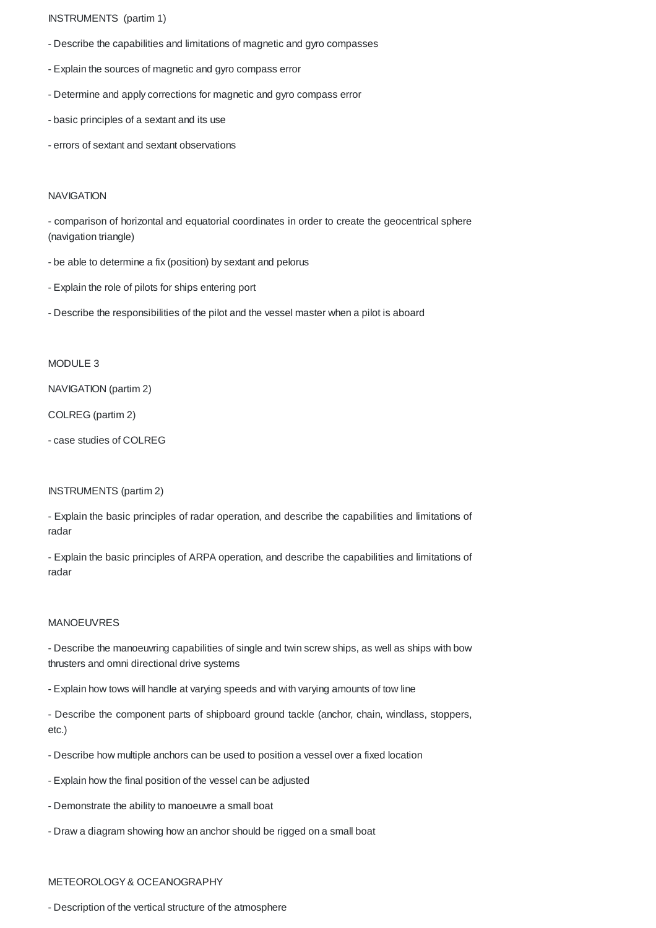INSTRUMENTS (partim 1)

- Describe the capabilities and limitations of magnetic and gyro compasses
- Explain the sources of magnetic and gyro compass error
- Determine and apply corrections for magnetic and gyro compass error
- basic principles of a sextant and its use
- errors of sextant and sextant observations

#### **NAVIGATION**

- comparison of horizontal and equatorial coordinates in order to create the geocentrical sphere (navigation triangle)

- be able to determine a fix (position) by sextant and pelorus
- Explain the role of pilots for ships entering port
- Describe the responsibilities of the pilot and the vessel master when a pilot is aboard

### MODULE 3

NAVIGATION (partim 2)

COLREG (partim 2)

- case studies of COLREG

#### INSTRUMENTS (partim 2)

- Explain the basic principles of radar operation, and describe the capabilities and limitations of radar

- Explain the basic principles of ARPA operation, and describe the capabilities and limitations of radar

### MANOEUVRES

- Describe the manoeuvring capabilities of single and twin screw ships, as well as ships with bow thrusters and omni directional drive systems

- Explain how tows will handle at varying speeds and with varying amounts of tow line
- Describe the component parts of shipboard ground tackle (anchor, chain, windlass, stoppers, etc.)
- Describe how multiple anchors can be used to position a vessel over a fixed location
- Explain how the final position of the vessel can be adjusted
- Demonstrate the ability to manoeuvre a small boat
- Draw a diagram showing how an anchor should be rigged on a small boat

#### METEOROLOGY& OCEANOGRAPHY

- Description of the vertical structure of the atmosphere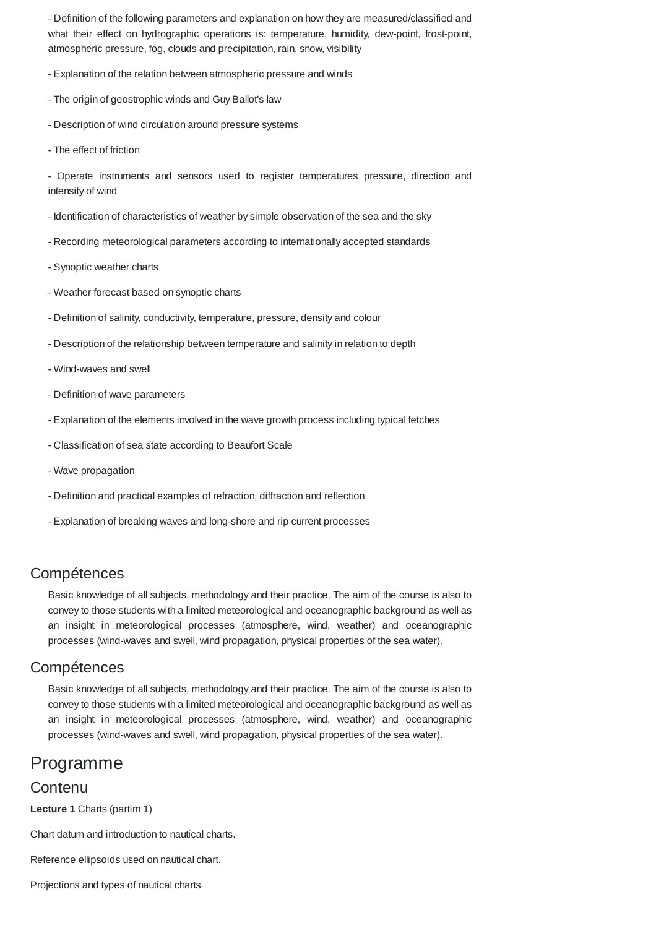- Definition of the following parameters and explanation on how they are measured/classified and what their effect on hydrographic operations is: temperature, humidity, dew-point, frost-point, atmospheric pressure, fog, clouds and precipitation, rain, snow, visibility

- Explanation of the relation between atmospheric pressure and winds

- The origin of geostrophic winds and Guy Ballot's law
- Description of wind circulation around pressure systems
- The effect of friction

- Operate instruments and sensors used to register temperatures pressure, direction and intensity of wind

- Identification of characteristics of weather by simple observation of the sea and the sky
- Recording meteorological parameters according to internationally accepted standards
- Synoptic weather charts
- Weather forecast based on synoptic charts
- Definition of salinity, conductivity, temperature, pressure, density and colour
- Description of the relationship between temperature and salinity in relation to depth
- Wind-waves and swell
- Definition of wave parameters
- Explanation of the elements involved in the wave growth process including typical fetches
- Classification of sea state according to Beaufort Scale
- Wave propagation
- Definition and practical examples of refraction, diffraction and reflection
- Explanation of breaking waves and long-shore and rip current processes

# Compétences

Basic knowledge of all subjects, methodology and their practice. The aim of the course is also to convey to those students with a limited meteorological and oceanographic background as well as an insight in meteorological processes (atmosphere, wind, weather) and oceanographic processes (wind-waves and swell, wind propagation, physical properties of the sea water).

### Compétences

Basic knowledge of all subjects, methodology and their practice. The aim of the course is also to convey to those students with a limited meteorological and oceanographic background as well as an insight in meteorological processes (atmosphere, wind, weather) and oceanographic processes (wind-waves and swell, wind propagation, physical properties of the sea water).

# Programme

### **Contenu**

**Lecture 1** Charts (partim 1)

Chart datum and introduction to nautical charts.

Reference ellipsoids used on nautical chart.

Projections and types of nautical charts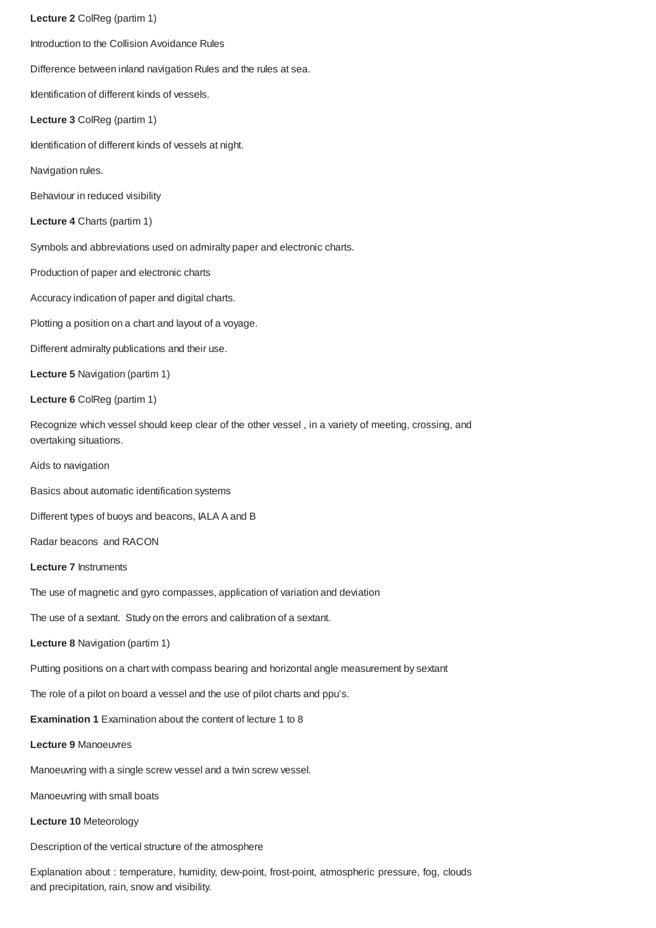**Lecture 2** ColReg (partim 1) Introduction to the Collision Avoidance Rules Difference between inland navigation Rules and the rules at sea. Identification of different kinds of vessels. **Lecture 3** ColReg (partim 1) Identification of different kinds of vessels at night. Navigation rules. Behaviour in reduced visibility **Lecture 4** Charts (partim 1) Symbols and abbreviations used on admiralty paper and electronic charts. Production of paper and electronic charts Accuracy indication of paper and digital charts. Plotting a position on a chart and layout of a voyage. Different admiralty publications and their use. **Lecture 5** Navigation (partim 1) **Lecture 6** ColReg (partim 1) Recognize which vessel should keep clear of the other vessel , in a variety of meeting, crossing, and overtaking situations. Aids to navigation Basics about automatic identification systems Different types of buoys and beacons, IALA A and B Radar beacons and RACON **Lecture 7** Instruments The use of magnetic and gyro compasses, application of variation and deviation The use of a sextant. Study on the errors and calibration of a sextant. **Lecture 8** Navigation (partim 1) Putting positions on a chart with compass bearing and horizontal angle measurement by sextant The role of a pilot on board a vessel and the use of pilot charts and ppu's. **Examination 1** Examination about the content of lecture 1 to 8 **Lecture 9** Manoeuvres Manoeuvring with a single screw vessel and a twin screw vessel. Manoeuvring with small boats **Lecture 10** Meteorology Description of the vertical structure of the atmosphere

Explanation about : temperature, humidity, dew-point, frost-point, atmospheric pressure, fog, clouds and precipitation, rain, snow and visibility.